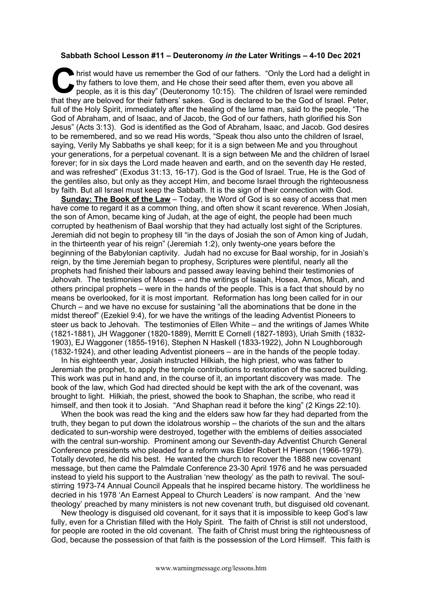## **Sabbath School Lesson #11 – Deuteronomy** *in the* **Later Writings – 4-10 Dec 2021**

hrist would have us remember the God of our fathers. "Only the Lord had a delight in thy fathers to love them, and He chose their seed after them, even you above all people, as it is this day" (Deuteronomy 10:15). The children of Israel were reminded hrist would have us remember the God of our fathers. "Only the Lord had a delight in thy fathers to love them, and He chose their seed after them, even you above all people, as it is this day" (Deuteronomy 10:15). The chil full of the Holy Spirit, immediately after the healing of the lame man, said to the people, "The God of Abraham, and of Isaac, and of Jacob, the God of our fathers, hath glorified his Son Jesus" (Acts 3:13). God is identified as the God of Abraham, Isaac, and Jacob. God desires to be remembered, and so we read His words, "Speak thou also unto the children of Israel, saying, Verily My Sabbaths ye shall keep; for it is a sign between Me and you throughout your generations, for a perpetual covenant. It is a sign between Me and the children of Israel forever; for in six days the Lord made heaven and earth, and on the seventh day He rested, and was refreshed" (Exodus 31:13, 16-17). God is the God of Israel. True, He is the God of the gentiles also, but only as they accept Him, and become Israel through the righteousness by faith. But all Israel must keep the Sabbath. It is the sign of their connection with God.

**Sunday: The Book of the Law** – Today, the Word of God is so easy of access that men have come to regard it as a common thing, and often show it scant reverence. When Josiah, the son of Amon, became king of Judah, at the age of eight, the people had been much corrupted by heathenism of Baal worship that they had actually lost sight of the Scriptures. Jeremiah did not begin to prophesy till "in the days of Josiah the son of Amon king of Judah, in the thirteenth year of his reign" (Jeremiah 1:2), only twenty-one years before the beginning of the Babylonian captivity. Judah had no excuse for Baal worship, for in Josiah's reign, by the time Jeremiah began to prophesy, Scriptures were plentiful, nearly all the prophets had finished their labours and passed away leaving behind their testimonies of Jehovah. The testimonies of Moses – and the writings of Isaiah, Hosea, Amos, Micah, and others principal prophets – were in the hands of the people. This is a fact that should by no means be overlooked, for it is most important. Reformation has long been called for in our Church – and we have no excuse for sustaining "all the abominations that be done in the midst thereof" (Ezekiel 9:4), for we have the writings of the leading Adventist Pioneers to steer us back to Jehovah. The testimonies of Ellen White – and the writings of James White (1821-1881), JH Waggoner (1820-1889), Merritt E Cornell (1827-1893), Uriah Smith (1832- 1903), EJ Waggoner (1855-1916), Stephen N Haskell (1833-1922), John N Loughborough (1832-1924), and other leading Adventist pioneers – are in the hands of the people today.

In his eighteenth year, Josiah instructed Hilkiah, the high priest, who was father to Jeremiah the prophet, to apply the temple contributions to restoration of the sacred building. This work was put in hand and, in the course of it, an important discovery was made. The book of the law, which God had directed should be kept with the ark of the covenant, was brought to light. Hilkiah, the priest, showed the book to Shaphan, the scribe, who read it himself, and then took it to Josiah. "And Shaphan read it before the king" (2 Kings 22:10).

When the book was read the king and the elders saw how far they had departed from the truth, they began to put down the idolatrous worship – the chariots of the sun and the altars dedicated to sun-worship were destroyed, together with the emblems of deities associated with the central sun-worship. Prominent among our Seventh-day Adventist Church General Conference presidents who pleaded for a reform was Elder Robert H Pierson (1966-1979). Totally devoted, he did his best. He wanted the church to recover the 1888 new covenant message, but then came the Palmdale Conference 23-30 April 1976 and he was persuaded instead to yield his support to the Australian 'new theology' as the path to revival. The soulstirring 1973-74 Annual Council Appeals that he inspired became history. The worldliness he decried in his 1978 'An Earnest Appeal to Church Leaders' is now rampant. And the 'new theology' preached by many ministers is not new covenant truth, but disguised old covenant.

New theology is disguised old covenant, for it says that it is impossible to keep God's law fully, even for a Christian filled with the Holy Spirit. The faith of Christ is still not understood, for people are rooted in the old covenant. The faith of Christ must bring the righteousness of God, because the possession of that faith is the possession of the Lord Himself. This faith is